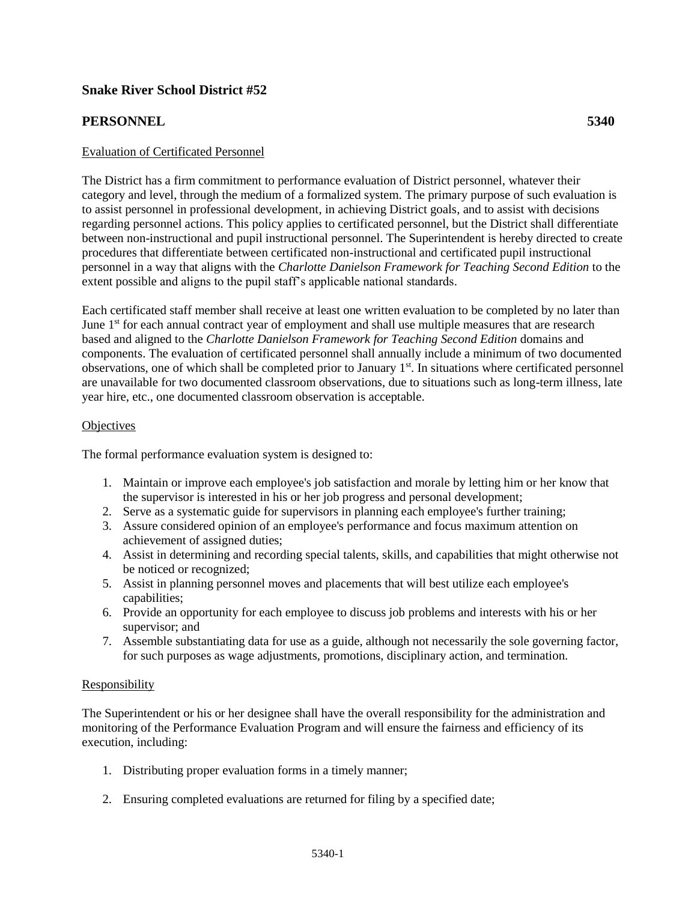# **Snake River School District #52**

# **PERSONNEL 5340**

# Evaluation of Certificated Personnel

The District has a firm commitment to performance evaluation of District personnel, whatever their category and level, through the medium of a formalized system. The primary purpose of such evaluation is to assist personnel in professional development, in achieving District goals, and to assist with decisions regarding personnel actions. This policy applies to certificated personnel, but the District shall differentiate between non-instructional and pupil instructional personnel. The Superintendent is hereby directed to create procedures that differentiate between certificated non-instructional and certificated pupil instructional personnel in a way that aligns with the *Charlotte Danielson Framework for Teaching Second Edition* to the extent possible and aligns to the pupil staff's applicable national standards.

Each certificated staff member shall receive at least one written evaluation to be completed by no later than June 1<sup>st</sup> for each annual contract year of employment and shall use multiple measures that are research based and aligned to the *Charlotte Danielson Framework for Teaching Second Edition* domains and components. The evaluation of certificated personnel shall annually include a minimum of two documented observations, one of which shall be completed prior to January 1<sup>st</sup>. In situations where certificated personnel are unavailable for two documented classroom observations, due to situations such as long-term illness, late year hire, etc., one documented classroom observation is acceptable.

## **Objectives**

The formal performance evaluation system is designed to:

- 1. Maintain or improve each employee's job satisfaction and morale by letting him or her know that the supervisor is interested in his or her job progress and personal development;
- 2. Serve as a systematic guide for supervisors in planning each employee's further training;
- 3. Assure considered opinion of an employee's performance and focus maximum attention on achievement of assigned duties;
- 4. Assist in determining and recording special talents, skills, and capabilities that might otherwise not be noticed or recognized;
- 5. Assist in planning personnel moves and placements that will best utilize each employee's capabilities;
- 6. Provide an opportunity for each employee to discuss job problems and interests with his or her supervisor; and
- 7. Assemble substantiating data for use as a guide, although not necessarily the sole governing factor, for such purposes as wage adjustments, promotions, disciplinary action, and termination.

## Responsibility

The Superintendent or his or her designee shall have the overall responsibility for the administration and monitoring of the Performance Evaluation Program and will ensure the fairness and efficiency of its execution, including:

- 1. Distributing proper evaluation forms in a timely manner;
- 2. Ensuring completed evaluations are returned for filing by a specified date;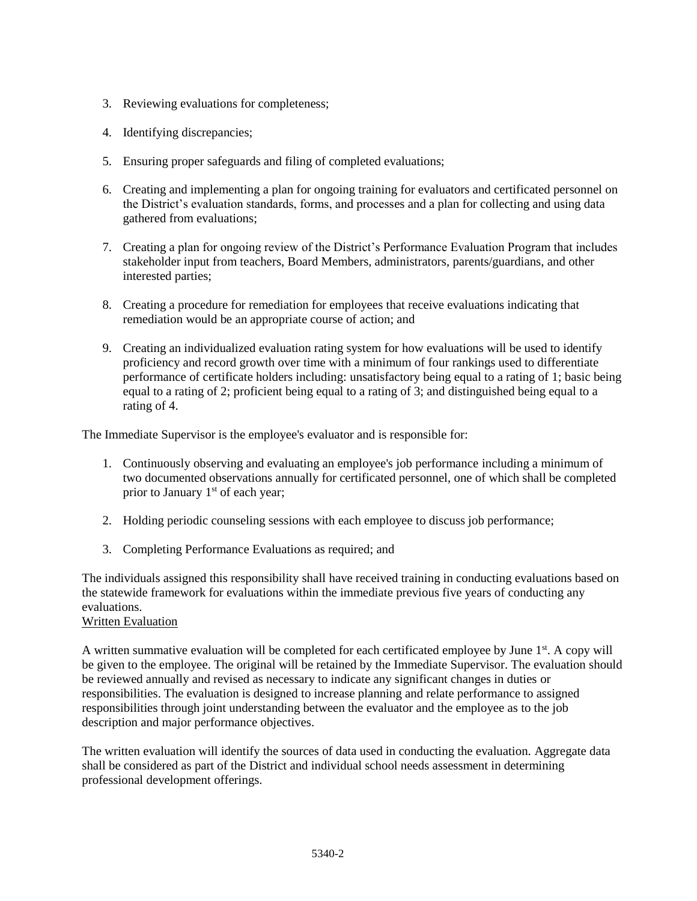- 3. Reviewing evaluations for completeness;
- 4. Identifying discrepancies;
- 5. Ensuring proper safeguards and filing of completed evaluations;
- 6. Creating and implementing a plan for ongoing training for evaluators and certificated personnel on the District's evaluation standards, forms, and processes and a plan for collecting and using data gathered from evaluations;
- 7. Creating a plan for ongoing review of the District's Performance Evaluation Program that includes stakeholder input from teachers, Board Members, administrators, parents/guardians, and other interested parties;
- 8. Creating a procedure for remediation for employees that receive evaluations indicating that remediation would be an appropriate course of action; and
- 9. Creating an individualized evaluation rating system for how evaluations will be used to identify proficiency and record growth over time with a minimum of four rankings used to differentiate performance of certificate holders including: unsatisfactory being equal to a rating of 1; basic being equal to a rating of 2; proficient being equal to a rating of 3; and distinguished being equal to a rating of 4.

The Immediate Supervisor is the employee's evaluator and is responsible for:

- 1. Continuously observing and evaluating an employee's job performance including a minimum of two documented observations annually for certificated personnel, one of which shall be completed prior to January 1<sup>st</sup> of each year;
- 2. Holding periodic counseling sessions with each employee to discuss job performance;
- 3. Completing Performance Evaluations as required; and

The individuals assigned this responsibility shall have received training in conducting evaluations based on the statewide framework for evaluations within the immediate previous five years of conducting any evaluations.

# Written Evaluation

A written summative evaluation will be completed for each certificated employee by June 1<sup>st</sup>. A copy will be given to the employee. The original will be retained by the Immediate Supervisor. The evaluation should be reviewed annually and revised as necessary to indicate any significant changes in duties or responsibilities. The evaluation is designed to increase planning and relate performance to assigned responsibilities through joint understanding between the evaluator and the employee as to the job description and major performance objectives.

The written evaluation will identify the sources of data used in conducting the evaluation. Aggregate data shall be considered as part of the District and individual school needs assessment in determining professional development offerings.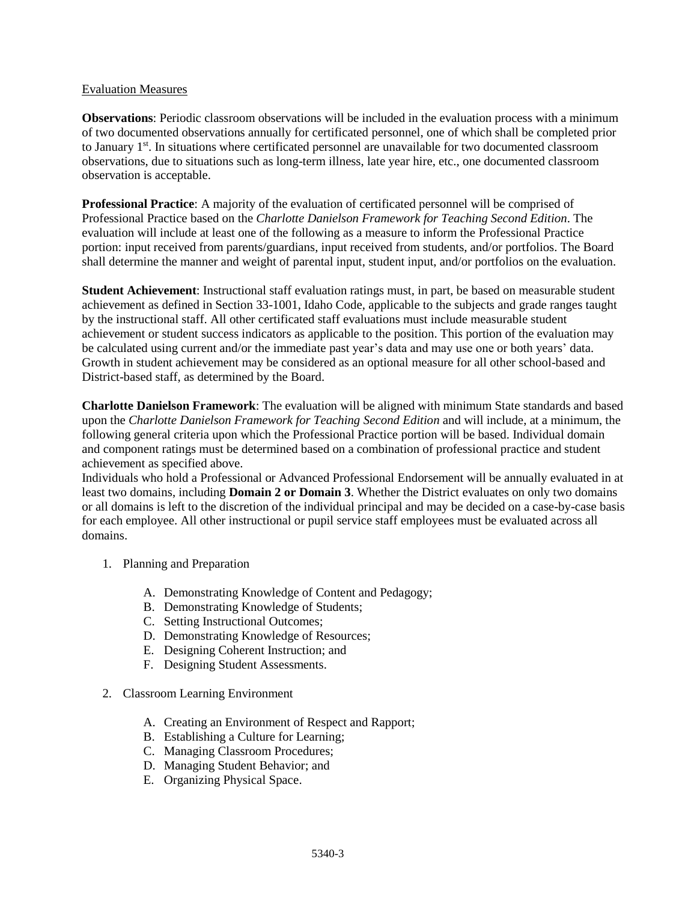#### Evaluation Measures

**Observations**: Periodic classroom observations will be included in the evaluation process with a minimum of two documented observations annually for certificated personnel, one of which shall be completed prior to January 1<sup>st</sup>. In situations where certificated personnel are unavailable for two documented classroom observations, due to situations such as long-term illness, late year hire, etc., one documented classroom observation is acceptable.

**Professional Practice**: A majority of the evaluation of certificated personnel will be comprised of Professional Practice based on the *Charlotte Danielson Framework for Teaching Second Edition*. The evaluation will include at least one of the following as a measure to inform the Professional Practice portion: input received from parents/guardians, input received from students, and/or portfolios. The Board shall determine the manner and weight of parental input, student input, and/or portfolios on the evaluation.

**Student Achievement**: Instructional staff evaluation ratings must, in part, be based on measurable student achievement as defined in Section 33-1001, Idaho Code, applicable to the subjects and grade ranges taught by the instructional staff. All other certificated staff evaluations must include measurable student achievement or student success indicators as applicable to the position. This portion of the evaluation may be calculated using current and/or the immediate past year's data and may use one or both years' data. Growth in student achievement may be considered as an optional measure for all other school-based and District-based staff, as determined by the Board.

**Charlotte Danielson Framework**: The evaluation will be aligned with minimum State standards and based upon the *Charlotte Danielson Framework for Teaching Second Edition* and will include, at a minimum, the following general criteria upon which the Professional Practice portion will be based. Individual domain and component ratings must be determined based on a combination of professional practice and student achievement as specified above.

Individuals who hold a Professional or Advanced Professional Endorsement will be annually evaluated in at least two domains, including **Domain 2 or Domain 3**. Whether the District evaluates on only two domains or all domains is left to the discretion of the individual principal and may be decided on a case-by-case basis for each employee. All other instructional or pupil service staff employees must be evaluated across all domains.

- 1. Planning and Preparation
	- A. Demonstrating Knowledge of Content and Pedagogy;
	- B. Demonstrating Knowledge of Students;
	- C. Setting Instructional Outcomes;
	- D. Demonstrating Knowledge of Resources;
	- E. Designing Coherent Instruction; and
	- F. Designing Student Assessments.
- 2. Classroom Learning Environment
	- A. Creating an Environment of Respect and Rapport;
	- B. Establishing a Culture for Learning;
	- C. Managing Classroom Procedures;
	- D. Managing Student Behavior; and
	- E. Organizing Physical Space.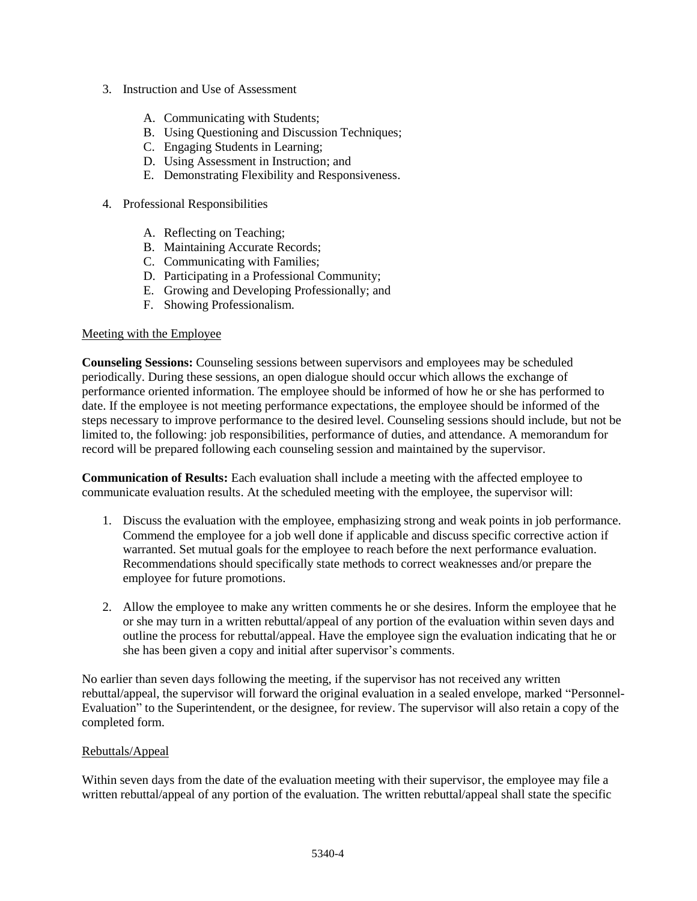- 3. Instruction and Use of Assessment
	- A. Communicating with Students;
	- B. Using Questioning and Discussion Techniques;
	- C. Engaging Students in Learning;
	- D. Using Assessment in Instruction; and
	- E. Demonstrating Flexibility and Responsiveness.
- 4. Professional Responsibilities
	- A. Reflecting on Teaching;
	- B. Maintaining Accurate Records;
	- C. Communicating with Families;
	- D. Participating in a Professional Community;
	- E. Growing and Developing Professionally; and
	- F. Showing Professionalism.

## Meeting with the Employee

**Counseling Sessions:** Counseling sessions between supervisors and employees may be scheduled periodically. During these sessions, an open dialogue should occur which allows the exchange of performance oriented information. The employee should be informed of how he or she has performed to date. If the employee is not meeting performance expectations, the employee should be informed of the steps necessary to improve performance to the desired level. Counseling sessions should include, but not be limited to, the following: job responsibilities, performance of duties, and attendance. A memorandum for record will be prepared following each counseling session and maintained by the supervisor.

**Communication of Results:** Each evaluation shall include a meeting with the affected employee to communicate evaluation results. At the scheduled meeting with the employee, the supervisor will:

- 1. Discuss the evaluation with the employee, emphasizing strong and weak points in job performance. Commend the employee for a job well done if applicable and discuss specific corrective action if warranted. Set mutual goals for the employee to reach before the next performance evaluation. Recommendations should specifically state methods to correct weaknesses and/or prepare the employee for future promotions.
- 2. Allow the employee to make any written comments he or she desires. Inform the employee that he or she may turn in a written rebuttal/appeal of any portion of the evaluation within seven days and outline the process for rebuttal/appeal. Have the employee sign the evaluation indicating that he or she has been given a copy and initial after supervisor's comments.

No earlier than seven days following the meeting, if the supervisor has not received any written rebuttal/appeal, the supervisor will forward the original evaluation in a sealed envelope, marked "Personnel-Evaluation" to the Superintendent, or the designee, for review. The supervisor will also retain a copy of the completed form.

## Rebuttals/Appeal

Within seven days from the date of the evaluation meeting with their supervisor, the employee may file a written rebuttal/appeal of any portion of the evaluation. The written rebuttal/appeal shall state the specific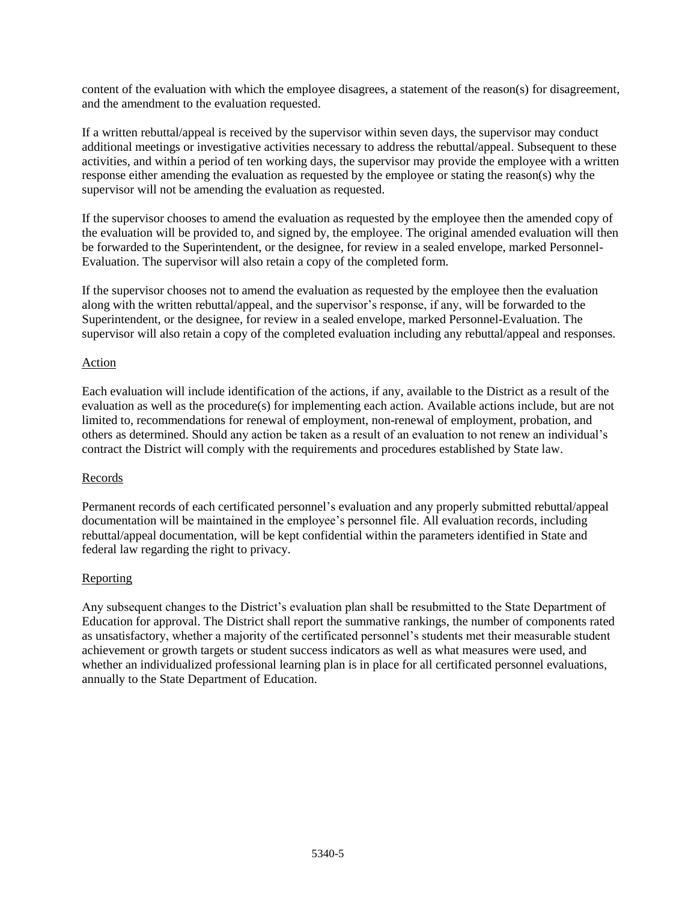content of the evaluation with which the employee disagrees, a statement of the reason(s) for disagreement, and the amendment to the evaluation requested.

If a written rebuttal/appeal is received by the supervisor within seven days, the supervisor may conduct additional meetings or investigative activities necessary to address the rebuttal/appeal. Subsequent to these activities, and within a period of ten working days, the supervisor may provide the employee with a written response either amending the evaluation as requested by the employee or stating the reason(s) why the supervisor will not be amending the evaluation as requested.

If the supervisor chooses to amend the evaluation as requested by the employee then the amended copy of the evaluation will be provided to, and signed by, the employee. The original amended evaluation will then be forwarded to the Superintendent, or the designee, for review in a sealed envelope, marked Personnel-Evaluation. The supervisor will also retain a copy of the completed form.

If the supervisor chooses not to amend the evaluation as requested by the employee then the evaluation along with the written rebuttal/appeal, and the supervisor's response, if any, will be forwarded to the Superintendent, or the designee, for review in a sealed envelope, marked Personnel-Evaluation. The supervisor will also retain a copy of the completed evaluation including any rebuttal/appeal and responses.

# Action

Each evaluation will include identification of the actions, if any, available to the District as a result of the evaluation as well as the procedure(s) for implementing each action. Available actions include, but are not limited to, recommendations for renewal of employment, non-renewal of employment, probation, and others as determined. Should any action be taken as a result of an evaluation to not renew an individual's contract the District will comply with the requirements and procedures established by State law.

## Records

Permanent records of each certificated personnel's evaluation and any properly submitted rebuttal/appeal documentation will be maintained in the employee's personnel file. All evaluation records, including rebuttal/appeal documentation, will be kept confidential within the parameters identified in State and federal law regarding the right to privacy.

# Reporting

Any subsequent changes to the District's evaluation plan shall be resubmitted to the State Department of Education for approval. The District shall report the summative rankings, the number of components rated as unsatisfactory, whether a majority of the certificated personnel's students met their measurable student achievement or growth targets or student success indicators as well as what measures were used, and whether an individualized professional learning plan is in place for all certificated personnel evaluations, annually to the State Department of Education.